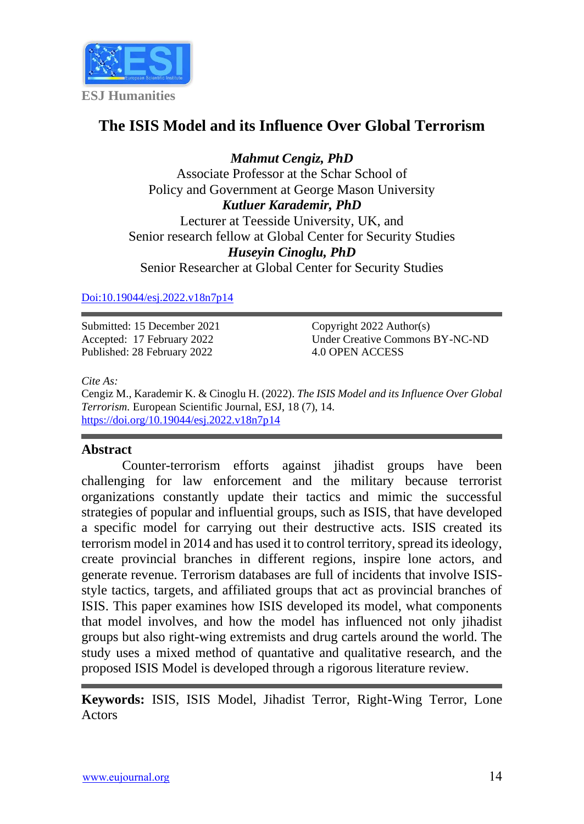

# **The ISIS Model and its Influence Over Global Terrorism**

*Mahmut Cengiz, PhD* Associate Professor at the Schar School of Policy and Government at George Mason University *Kutluer Karademir, PhD* Lecturer at Teesside University, UK, and Senior research fellow at Global Center for Security Studies *Huseyin Cinoglu, PhD* Senior Researcher at Global Center for Security Studies

#### [Doi:10.19044/esj.2022.v18n7p14](https://doi.org/10.19044/esj.2022.v18n7p14)

Submitted: 15 December 2021 Accepted: 17 February 2022 Published: 28 February 2022

Copyright 2022 Author(s) Under Creative Commons BY-NC-ND 4.0 OPEN ACCESS

*Cite As:*

Cengiz M., Karademir K. & Cinoglu H. (2022). *The ISIS Model and its Influence Over Global Terrorism.* European Scientific Journal, ESJ, 18 (7), 14. <https://doi.org/10.19044/esj.2022.v18n7p14>

## **Abstract**

Counter-terrorism efforts against jihadist groups have been challenging for law enforcement and the military because terrorist organizations constantly update their tactics and mimic the successful strategies of popular and influential groups, such as ISIS, that have developed a specific model for carrying out their destructive acts. ISIS created its terrorism model in 2014 and has used it to control territory, spread its ideology, create provincial branches in different regions, inspire lone actors, and generate revenue. Terrorism databases are full of incidents that involve ISISstyle tactics, targets, and affiliated groups that act as provincial branches of ISIS. This paper examines how ISIS developed its model, what components that model involves, and how the model has influenced not only jihadist groups but also right-wing extremists and drug cartels around the world. The study uses a mixed method of quantative and qualitative research, and the proposed ISIS Model is developed through a rigorous literature review.

**Keywords:** ISIS, ISIS Model, Jihadist Terror, Right-Wing Terror, Lone **Actors**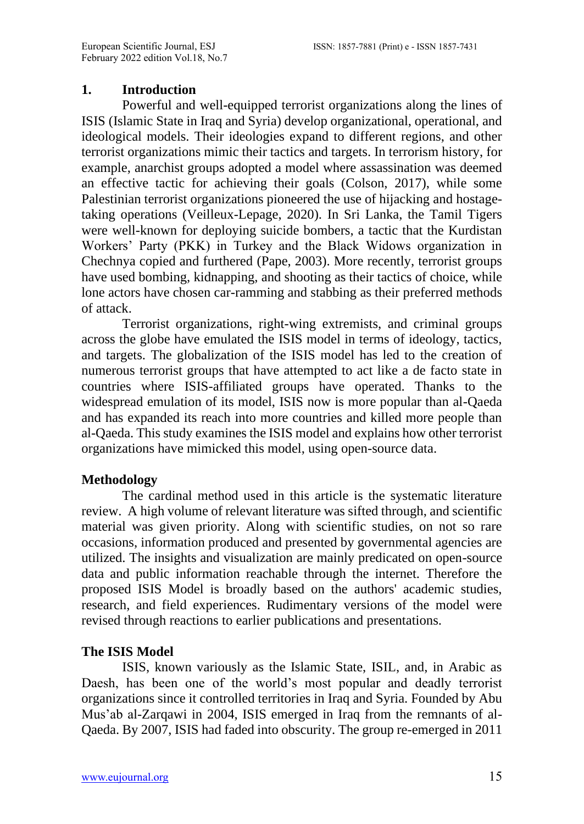#### **1. Introduction**

Powerful and well-equipped terrorist organizations along the lines of ISIS (Islamic State in Iraq and Syria) develop organizational, operational, and ideological models. Their ideologies expand to different regions, and other terrorist organizations mimic their tactics and targets. In terrorism history, for example, anarchist groups adopted a model where assassination was deemed an effective tactic for achieving their goals (Colson, 2017), while some Palestinian terrorist organizations pioneered the use of hijacking and hostagetaking operations (Veilleux-Lepage, 2020). In Sri Lanka, the Tamil Tigers were well-known for deploying suicide bombers, a tactic that the Kurdistan Workers' Party (PKK) in Turkey and the Black Widows organization in Chechnya copied and furthered (Pape, 2003). More recently, terrorist groups have used bombing, kidnapping, and shooting as their tactics of choice, while lone actors have chosen car-ramming and stabbing as their preferred methods of attack.

Terrorist organizations, right-wing extremists, and criminal groups across the globe have emulated the ISIS model in terms of ideology, tactics, and targets. The globalization of the ISIS model has led to the creation of numerous terrorist groups that have attempted to act like a de facto state in countries where ISIS-affiliated groups have operated. Thanks to the widespread emulation of its model, ISIS now is more popular than al-Qaeda and has expanded its reach into more countries and killed more people than al-Qaeda. This study examines the ISIS model and explains how other terrorist organizations have mimicked this model, using open-source data.

## **Methodology**

The cardinal method used in this article is the systematic literature review. A high volume of relevant literature was sifted through, and scientific material was given priority. Along with scientific studies, on not so rare occasions, information produced and presented by governmental agencies are utilized. The insights and visualization are mainly predicated on open-source data and public information reachable through the internet. Therefore the proposed ISIS Model is broadly based on the authors' academic studies, research, and field experiences. Rudimentary versions of the model were revised through reactions to earlier publications and presentations.

## **The ISIS Model**

ISIS, known variously as the Islamic State, ISIL, and, in Arabic as Daesh, has been one of the world's most popular and deadly terrorist organizations since it controlled territories in Iraq and Syria. Founded by Abu Mus'ab al-Zarqawi in 2004, ISIS emerged in Iraq from the remnants of al-Qaeda. By 2007, ISIS had faded into obscurity. The group re-emerged in 2011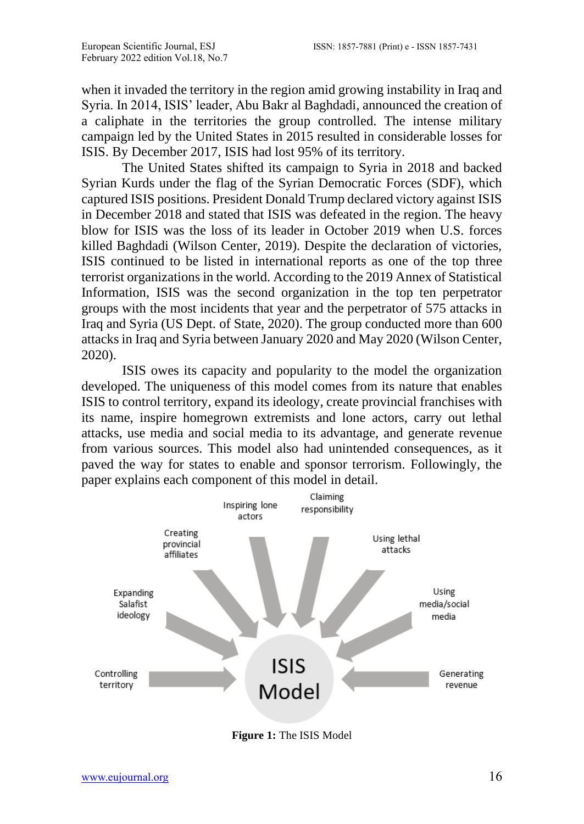when it invaded the territory in the region amid growing instability in Iraq and Syria. In 2014, ISIS' leader, Abu Bakr al Baghdadi, announced the creation of a caliphate in the territories the group controlled. The intense military campaign led by the United States in 2015 resulted in considerable losses for ISIS. By December 2017, ISIS had lost 95% of its territory.

The United States shifted its campaign to Syria in 2018 and backed Syrian Kurds under the flag of the Syrian Democratic Forces (SDF), which captured ISIS positions. President Donald Trump declared victory against ISIS in December 2018 and stated that ISIS was defeated in the region. The heavy blow for ISIS was the loss of its leader in October 2019 when U.S. forces killed Baghdadi (Wilson Center, 2019). Despite the declaration of victories, ISIS continued to be listed in international reports as one of the top three terrorist organizations in the world. According to the 2019 Annex of Statistical Information, ISIS was the second organization in the top ten perpetrator groups with the most incidents that year and the perpetrator of 575 attacks in Iraq and Syria (US Dept. of State, 2020). The group conducted more than 600 attacks in Iraq and Syria between January 2020 and May 2020 (Wilson Center, 2020).

ISIS owes its capacity and popularity to the model the organization developed. The uniqueness of this model comes from its nature that enables ISIS to control territory, expand its ideology, create provincial franchises with its name, inspire homegrown extremists and lone actors, carry out lethal attacks, use media and social media to its advantage, and generate revenue from various sources. This model also had unintended consequences, as it paved the way for states to enable and sponsor terrorism. Followingly, the paper explains each component of this model in detail.



**Figure 1:** The ISIS Model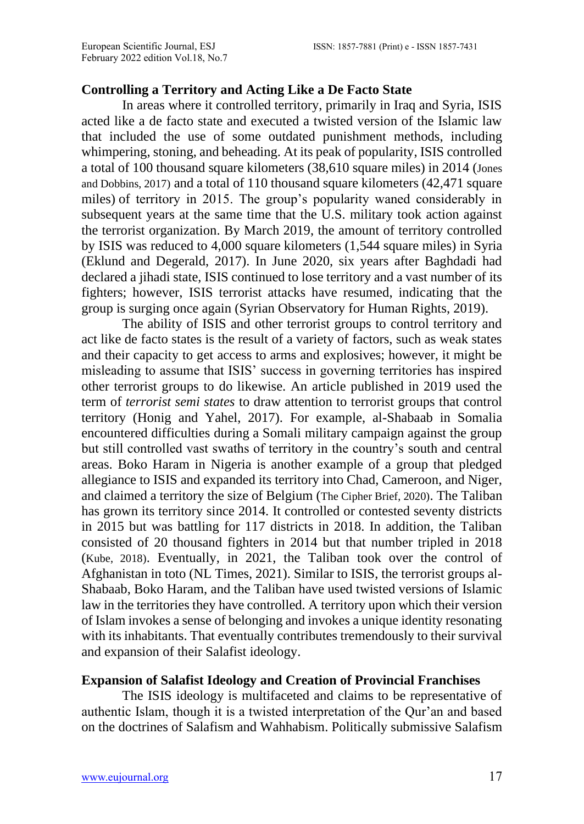#### **Controlling a Territory and Acting Like a De Facto State**

In areas where it controlled territory, primarily in Iraq and Syria, ISIS acted like a de facto state and executed a twisted version of the Islamic law that included the use of some outdated punishment methods, including whimpering, stoning, and beheading. At its peak of popularity, ISIS controlled a total of 100 thousand square kilometers (38,610 square miles) in 2014 (Jones and Dobbins, 2017) and a total of 110 thousand square kilometers (42,471 square miles) of territory in 2015. The group's popularity waned considerably in subsequent years at the same time that the U.S. military took action against the terrorist organization. By March 2019, the amount of territory controlled by ISIS was reduced to 4,000 square kilometers (1,544 square miles) in Syria (Eklund and Degerald, 2017). In June 2020, six years after Baghdadi had declared a jihadi state, ISIS continued to lose territory and a vast number of its fighters; however, ISIS terrorist attacks have resumed, indicating that the group is surging once again (Syrian Observatory for Human Rights, 2019).

The ability of ISIS and other terrorist groups to control territory and act like de facto states is the result of a variety of factors, such as weak states and their capacity to get access to arms and explosives; however, it might be misleading to assume that ISIS' success in governing territories has inspired other terrorist groups to do likewise. An article published in 2019 used the term of *terrorist semi states* to draw attention to terrorist groups that control territory (Honig and Yahel, 2017). For example, al-Shabaab in Somalia encountered difficulties during a Somali military campaign against the group but still controlled vast swaths of territory in the country's south and central areas. Boko Haram in Nigeria is another example of a group that pledged allegiance to ISIS and expanded its territory into Chad, Cameroon, and Niger, and claimed a territory the size of Belgium (The Cipher Brief, 2020). The Taliban has grown its territory since 2014. It controlled or contested seventy districts in 2015 but was battling for 117 districts in 2018. In addition, the Taliban consisted of 20 thousand fighters in 2014 but that number tripled in 2018 (Kube, 2018). Eventually, in 2021, the Taliban took over the control of Afghanistan in toto (NL Times, 2021). Similar to ISIS, the terrorist groups al-Shabaab, Boko Haram, and the Taliban have used twisted versions of Islamic law in the territories they have controlled. A territory upon which their version of Islam invokes a sense of belonging and invokes a unique identity resonating with its inhabitants. That eventually contributes tremendously to their survival and expansion of their Salafist ideology.

## **Expansion of Salafist Ideology and Creation of Provincial Franchises**

The ISIS ideology is multifaceted and claims to be representative of authentic Islam, though it is a twisted interpretation of the Qur'an and based on the doctrines of Salafism and Wahhabism. Politically submissive Salafism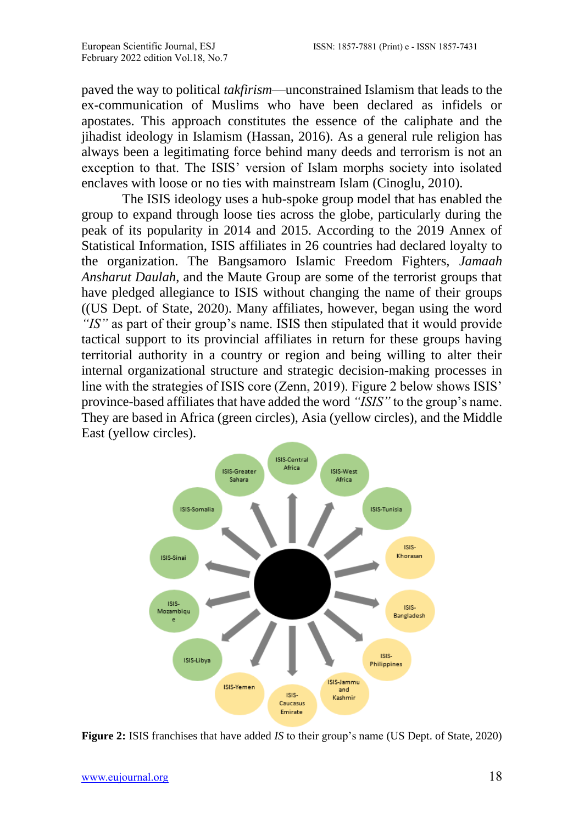paved the way to political *takfirism*—unconstrained Islamism that leads to the ex-communication of Muslims who have been declared as infidels or apostates. This approach constitutes the essence of the caliphate and the jihadist ideology in Islamism (Hassan, 2016). As a general rule religion has always been a legitimating force behind many deeds and terrorism is not an exception to that. The ISIS' version of Islam morphs society into isolated enclaves with loose or no ties with mainstream Islam (Cinoglu, 2010).

The ISIS ideology uses a hub-spoke group model that has enabled the group to expand through loose ties across the globe, particularly during the peak of its popularity in 2014 and 2015. According to the 2019 Annex of Statistical Information, ISIS affiliates in 26 countries had declared loyalty to the organization. The Bangsamoro Islamic Freedom Fighters, *Jamaah Ansharut Daulah*, and the Maute Group are some of the terrorist groups that have pledged allegiance to ISIS without changing the name of their groups ((US Dept. of State, 2020). Many affiliates, however, began using the word *"IS"* as part of their group's name. ISIS then stipulated that it would provide tactical support to its provincial affiliates in return for these groups having territorial authority in a country or region and being willing to alter their internal organizational structure and strategic decision-making processes in line with the strategies of ISIS core (Zenn, 2019). Figure 2 below shows ISIS' province-based affiliates that have added the word *"ISIS"* to the group's name. They are based in Africa (green circles), Asia (yellow circles), and the Middle East (yellow circles).



**Figure 2:** ISIS franchises that have added *IS* to their group's name (US Dept. of State, 2020)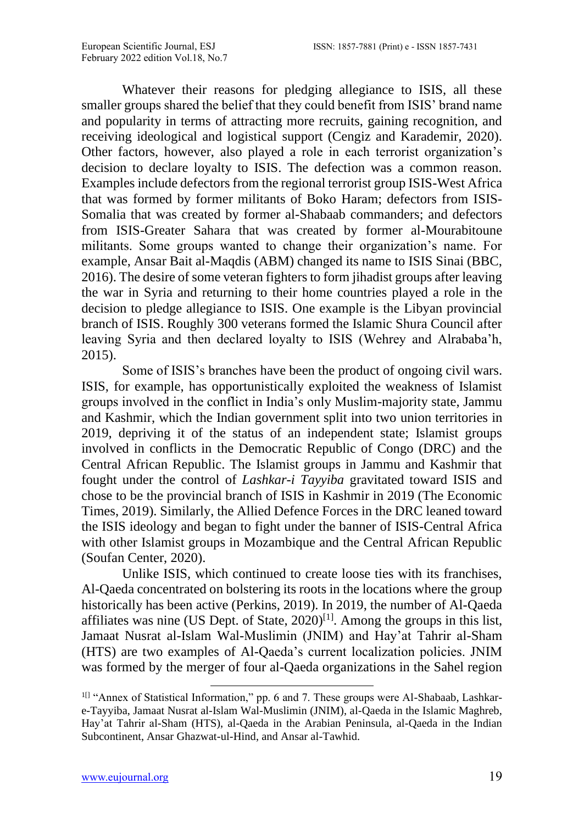Whatever their reasons for pledging allegiance to ISIS, all these smaller groups shared the belief that they could benefit from ISIS' brand name and popularity in terms of attracting more recruits, gaining recognition, and receiving ideological and logistical support (Cengiz and Karademir, 2020). Other factors, however, also played a role in each terrorist organization's decision to declare loyalty to ISIS. The defection was a common reason. Examples include defectors from the regional terrorist group ISIS-West Africa that was formed by former militants of Boko Haram; defectors from ISIS-Somalia that was created by former al-Shabaab commanders; and defectors from ISIS-Greater Sahara that was created by former al-Mourabitoune militants. Some groups wanted to change their organization's name. For example, [Ansar Bait al-Maqdis](https://en.wikipedia.org/wiki/Ansar_Bait_al-Maqdis) (ABM) changed its name to ISIS Sinai (BBC, 2016). The desire of some veteran fighters to form jihadist groups after leaving the war in Syria and returning to their home countries played a role in the decision to pledge allegiance to ISIS. One example is the Libyan provincial branch of ISIS. Roughly 300 veterans formed the Islamic Shura Council after leaving Syria and then declared loyalty to ISIS (Wehrey and Alrababa'h, 2015).

Some of ISIS's branches have been the product of ongoing civil wars. ISIS, for example, has opportunistically exploited the weakness of Islamist groups involved in the conflict in India's only Muslim-majority state, Jammu and Kashmir, which the Indian government split into two union territories in 2019, depriving it of the status of an independent state; Islamist groups involved in conflicts in the Democratic Republic of Congo (DRC) and the Central African Republic. The Islamist groups in Jammu and Kashmir that fought under the control of *Lashkar-i Tayyiba* gravitated toward ISIS and chose to be the provincial branch of ISIS in Kashmir in 2019 (The Economic Times, 2019). Similarly, the Allied Defence Forces in the DRC leaned toward the ISIS ideology and began to fight under the banner of ISIS-Central Africa with other Islamist groups in Mozambique and the Central African Republic (Soufan Center, 2020).

Unlike ISIS, which continued to create loose ties with its franchises, Al-Qaeda concentrated on bolstering its roots in the locations where the group historically has been active (Perkins, 2019). In 2019, the number of Al-Qaeda affiliates was nine (US Dept. of State,  $2020$ <sup>[1]</sup>. Among the groups in this list, Jamaat Nusrat al-Islam Wal-Muslimin (JNIM) and Hay'at Tahrir al-Sham (HTS) are two examples of Al-Qaeda's current localization policies. JNIM was formed by the merger of four al-Qaeda organizations in the Sahel region

<sup>&</sup>lt;sup>1[]</sup> "Annex of Statistical Information," pp. 6 and 7. These groups were Al-Shabaab, Lashkare-Tayyiba, Jamaat Nusrat al-Islam Wal-Muslimin (JNIM), al-Qaeda in the Islamic Maghreb, Hay'at Tahrir al-Sham (HTS), al-Qaeda in the Arabian Peninsula, al-Qaeda in the Indian Subcontinent, Ansar Ghazwat-ul-Hind, and Ansar al-Tawhid.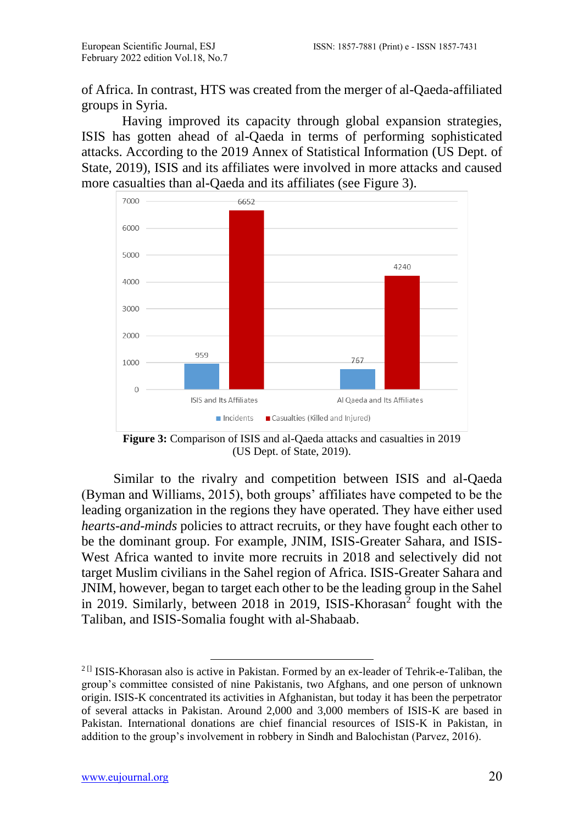of Africa. In contrast, HTS was created from the merger of al-Qaeda-affiliated groups in Syria.

Having improved its capacity through global expansion strategies, ISIS has gotten ahead of al-Qaeda in terms of performing sophisticated attacks. According to the 2019 Annex of Statistical Information (US Dept. of State, 2019), ISIS and its affiliates were involved in more attacks and caused more casualties than al-Qaeda and its affiliates (see Figure 3).



**Figure 3:** Comparison of ISIS and al-Qaeda attacks and casualties in 2019 (US Dept. of State, 2019).

Similar to the rivalry and competition between ISIS and al-Qaeda (Byman and Williams, 2015), both groups' affiliates have competed to be the leading organization in the regions they have operated. They have either used *hearts-and-minds* policies to attract recruits, or they have fought each other to be the dominant group. For example, JNIM, ISIS-Greater Sahara, and ISIS-West Africa wanted to invite more recruits in 2018 and selectively did not target Muslim civilians in the Sahel region of Africa. ISIS-Greater Sahara and JNIM, however, began to target each other to be the leading group in the Sahel in 2019. Similarly, between 2018 in 2019, ISIS-Khorasan<sup>2</sup> fought with the Taliban, and ISIS-Somalia fought with al-Shabaab.

 $20$  ISIS-Khorasan also is active in Pakistan. Formed by an ex-leader of Tehrik-e-Taliban, the group's committee consisted of nine Pakistanis, two Afghans, and one person of unknown origin. ISIS-K concentrated its activities in Afghanistan, but today it has been the perpetrator of several attacks in Pakistan. Around 2,000 and 3,000 members of ISIS-K are based in Pakistan. International donations are chief financial resources of ISIS-K in Pakistan, in addition to the group's involvement in robbery in Sindh and Balochistan (Parvez, 2016).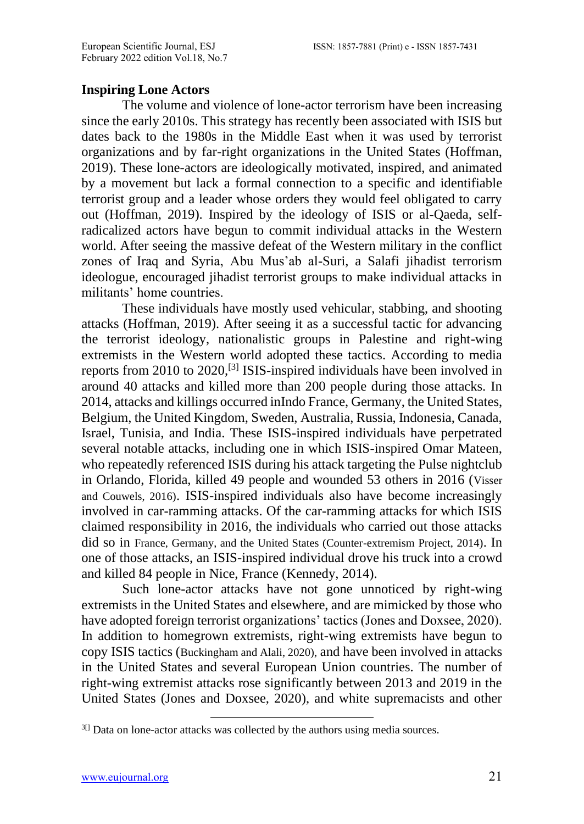## **Inspiring Lone Actors**

The volume and violence of lone-actor terrorism have been increasing since the early 2010s. This strategy has recently been associated with ISIS but dates back to the 1980s in the Middle East when it was used by terrorist organizations and by far-right organizations in the United States (Hoffman, 2019). These lone-actors are ideologically motivated, inspired, and animated by a movement but lack a formal connection to a specific and identifiable terrorist group and a leader whose orders they would feel obligated to carry out (Hoffman, 2019). Inspired by the ideology of ISIS or al-Qaeda, selfradicalized actors have begun to commit individual attacks in the Western world. After seeing the massive defeat of the Western military in the conflict zones of Iraq and Syria, Abu Mus'ab al-Suri, a Salafi jihadist terrorism ideologue, encouraged jihadist terrorist groups to make individual attacks in militants' home countries.

These individuals have mostly used vehicular, stabbing, and shooting attacks (Hoffman, 2019). After seeing it as a successful tactic for advancing the terrorist ideology, nationalistic groups in Palestine and right-wing extremists in the Western world adopted these tactics. According to media reports from 2010 to 2020,<sup>[3]</sup> ISIS-inspired individuals have been involved in around 40 attacks and killed more than 200 people during those attacks. In 2014, attacks and killings occurred inIndo France, Germany, the United States, Belgium, the United Kingdom, Sweden, Australia, Russia, Indonesia, Canada, Israel, Tunisia, and India. These ISIS-inspired individuals have perpetrated several notable attacks, including one in which ISIS-inspired Omar Mateen, who repeatedly referenced ISIS during his attack targeting the Pulse nightclub in Orlando, Florida, killed 49 people and wounded 53 others in 2016 (Visser and Couwels, 2016). ISIS-inspired individuals also have become increasingly involved in car-ramming attacks. Of the car-ramming attacks for which ISIS claimed responsibility in 2016, the individuals who carried out those attacks did so in France, Germany, and the United States (Counter-extremism Project, 2014). In one of those attacks, an ISIS-inspired individual drove his truck into a crowd and killed 84 people in Nice, France (Kennedy, 2014).

Such lone-actor attacks have not gone unnoticed by right-wing extremists in the United States and elsewhere, and are mimicked by those who have adopted foreign terrorist organizations' tactics (Jones and Doxsee, 2020). In addition to homegrown extremists, right-wing extremists have begun to copy ISIS tactics (Buckingham and Alali, 2020), and have been involved in attacks in the United States and several European Union countries. The number of right-wing extremist attacks rose significantly between 2013 and 2019 in the United States (Jones and Doxsee, 2020), and white supremacists and other

 $3\text{I}$  Data on lone-actor attacks was collected by the authors using media sources.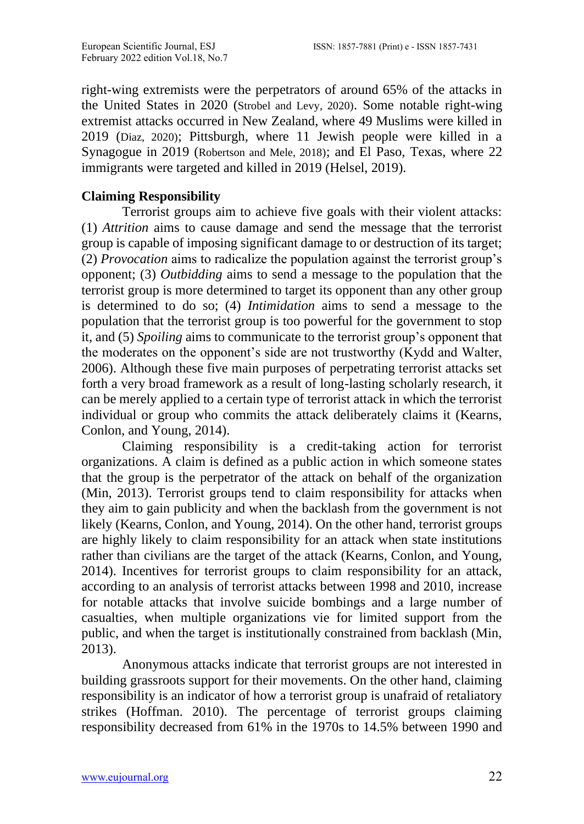right-wing extremists were the perpetrators of around 65% of the attacks in the United States in 2020 (Strobel and Levy, 2020). Some notable right-wing extremist attacks occurred in New Zealand, where 49 Muslims were killed in 2019 (Diaz, 2020); Pittsburgh, where 11 Jewish people were killed in a Synagogue in 2019 (Robertson and Mele, 2018); and El Paso, Texas, where 22 immigrants were targeted and killed in 2019 (Helsel, 2019).

## **Claiming Responsibility**

Terrorist groups aim to achieve five goals with their violent attacks: (1) *Attrition* aims to cause damage and send the message that the terrorist group is capable of imposing significant damage to or destruction of its target; (2) *Provocation* aims to radicalize the population against the terrorist group's opponent; (3) *Outbidding* aims to send a message to the population that the terrorist group is more determined to target its opponent than any other group is determined to do so; (4) *Intimidation* aims to send a message to the population that the terrorist group is too powerful for the government to stop it, and (5) *Spoiling* aims to communicate to the terrorist group's opponent that the moderates on the opponent's side are not trustworthy (Kydd and Walter, 2006). Although these five main purposes of perpetrating terrorist attacks set forth a very broad framework as a result of long-lasting scholarly research, it can be merely applied to a certain type of terrorist attack in which the terrorist individual or group who commits the attack deliberately claims it (Kearns, Conlon, and Young, 2014).

Claiming responsibility is a credit-taking action for terrorist organizations. A claim is defined as a public action in which someone states that the group is the perpetrator of the attack on behalf of the organization (Min, 2013). Terrorist groups tend to claim responsibility for attacks when they aim to gain publicity and when the backlash from the government is not likely (Kearns, Conlon, and Young, 2014). On the other hand, terrorist groups are highly likely to claim responsibility for an attack when state institutions rather than civilians are the target of the attack (Kearns, Conlon, and Young, 2014). Incentives for terrorist groups to claim responsibility for an attack, according to an analysis of terrorist attacks between 1998 and 2010, increase for notable attacks that involve suicide bombings and a large number of casualties, when multiple organizations vie for limited support from the public, and when the target is institutionally constrained from backlash (Min, 2013).

Anonymous attacks indicate that terrorist groups are not interested in building grassroots support for their movements. On the other hand, claiming responsibility is an indicator of how a terrorist group is unafraid of retaliatory strikes (Hoffman. 2010). The percentage of terrorist groups claiming responsibility decreased from 61% in the 1970s to 14.5% between 1990 and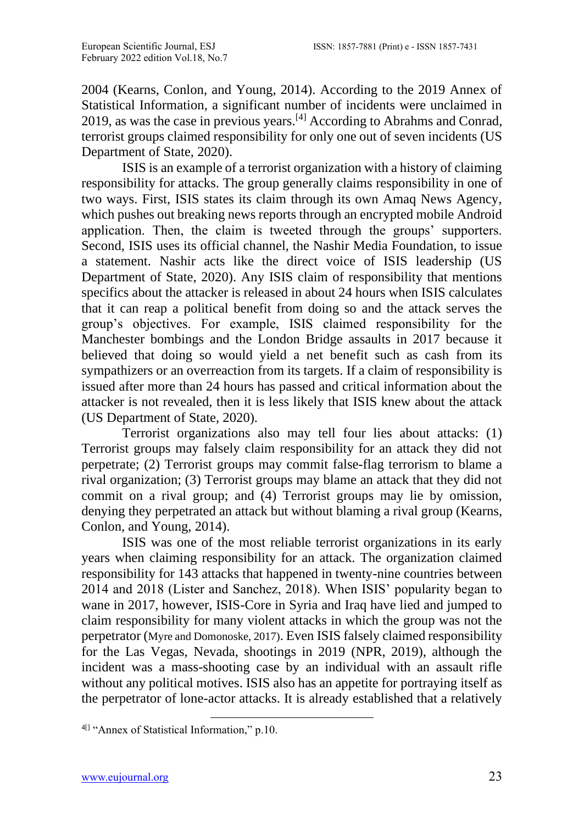2004 (Kearns, Conlon, and Young, 2014). According to the 2019 Annex of Statistical Information, a significant number of incidents were unclaimed in 2019, as was the case in previous years.[4] According to Abrahms and Conrad, terrorist groups claimed responsibility for only one out of seven incidents (US Department of State, 2020).

ISIS is an example of a terrorist organization with a history of claiming responsibility for attacks. The group generally claims responsibility in one of two ways. First, ISIS states its claim through its own Amaq News Agency, which pushes out breaking news reports through an encrypted mobile Android application. Then, the claim is tweeted through the groups' supporters. Second, ISIS uses its official channel, the Nashir Media Foundation, to issue a statement. Nashir acts like the direct voice of ISIS leadership (US Department of State, 2020). Any ISIS claim of responsibility that mentions specifics about the attacker is released in about 24 hours when ISIS calculates that it can reap a political benefit from doing so and the attack serves the group's objectives. For example, ISIS claimed responsibility for the Manchester bombings and the London Bridge assaults in 2017 because it believed that doing so would yield a net benefit such as cash from its sympathizers or an overreaction from its targets. If a claim of responsibility is issued after more than 24 hours has passed and critical information about the attacker is not revealed, then it is less likely that ISIS knew about the attack (US Department of State, 2020).

Terrorist organizations also may tell four lies about attacks: (1) Terrorist groups may falsely claim responsibility for an attack they did not perpetrate; (2) Terrorist groups may commit false-flag terrorism to blame a rival organization; (3) Terrorist groups may blame an attack that they did not commit on a rival group; and (4) Terrorist groups may lie by omission, denying they perpetrated an attack but without blaming a rival group (Kearns, Conlon, and Young, 2014).

ISIS was one of the most reliable terrorist organizations in its early years when claiming responsibility for an attack. The organization claimed responsibility for 143 attacks that happened in twenty-nine countries between 2014 and 2018 (Lister and Sanchez, 2018). When ISIS' popularity began to wane in 2017, however, ISIS-Core in Syria and Iraq have lied and jumped to claim responsibility for many violent attacks in which the group was not the perpetrator (Myre and Domonoske, 2017). Even ISIS falsely claimed responsibility for the Las Vegas, Nevada, shootings in 2019 (NPR, 2019), although the incident was a mass-shooting case by an individual with an assault rifle without any political motives. ISIS also has an appetite for portraying itself as the perpetrator of lone-actor attacks. It is already established that a relatively

<sup>&</sup>lt;sup>4[]</sup> "Annex of Statistical Information," p.10.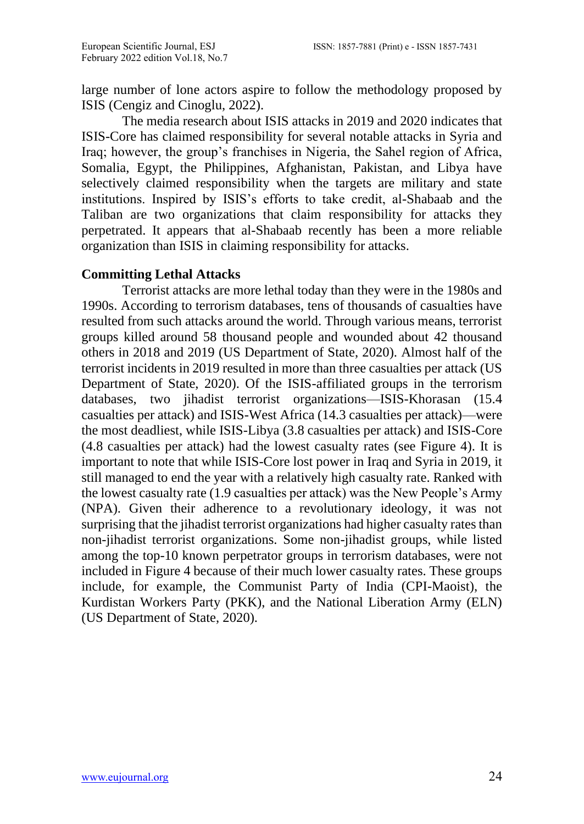large number of lone actors aspire to follow the methodology proposed by ISIS (Cengiz and Cinoglu, 2022).

The media research about ISIS attacks in 2019 and 2020 indicates that ISIS-Core has claimed responsibility for several notable attacks in Syria and Iraq; however, the group's franchises in Nigeria, the Sahel region of Africa, Somalia, Egypt, the Philippines, Afghanistan, Pakistan, and Libya have selectively claimed responsibility when the targets are military and state institutions. Inspired by ISIS's efforts to take credit, al-Shabaab and the Taliban are two organizations that claim responsibility for attacks they perpetrated. It appears that al-Shabaab recently has been a more reliable organization than ISIS in claiming responsibility for attacks.

# **Committing Lethal Attacks**

Terrorist attacks are more lethal today than they were in the 1980s and 1990s. According to terrorism databases, tens of thousands of casualties have resulted from such attacks around the world. Through various means, terrorist groups killed around 58 thousand people and wounded about 42 thousand others in 2018 and 2019 (US Department of State, 2020). Almost half of the terrorist incidents in 2019 resulted in more than three casualties per attack (US Department of State, 2020). Of the ISIS-affiliated groups in the terrorism databases, two jihadist terrorist organizations—ISIS-Khorasan (15.4 casualties per attack) and ISIS-West Africa (14.3 casualties per attack)—were the most deadliest, while ISIS-Libya (3.8 casualties per attack) and ISIS-Core (4.8 casualties per attack) had the lowest casualty rates (see Figure 4). It is important to note that while ISIS-Core lost power in Iraq and Syria in 2019, it still managed to end the year with a relatively high casualty rate. Ranked with the lowest casualty rate (1.9 casualties per attack) was the New People's Army (NPA). Given their adherence to a revolutionary ideology, it was not surprising that the jihadist terrorist organizations had higher casualty rates than non-jihadist terrorist organizations. Some non-jihadist groups, while listed among the top-10 known perpetrator groups in terrorism databases, were not included in Figure 4 because of their much lower casualty rates. These groups include, for example, the Communist Party of India (CPI-Maoist), the Kurdistan Workers Party (PKK), and the National Liberation Army (ELN) (US Department of State, 2020).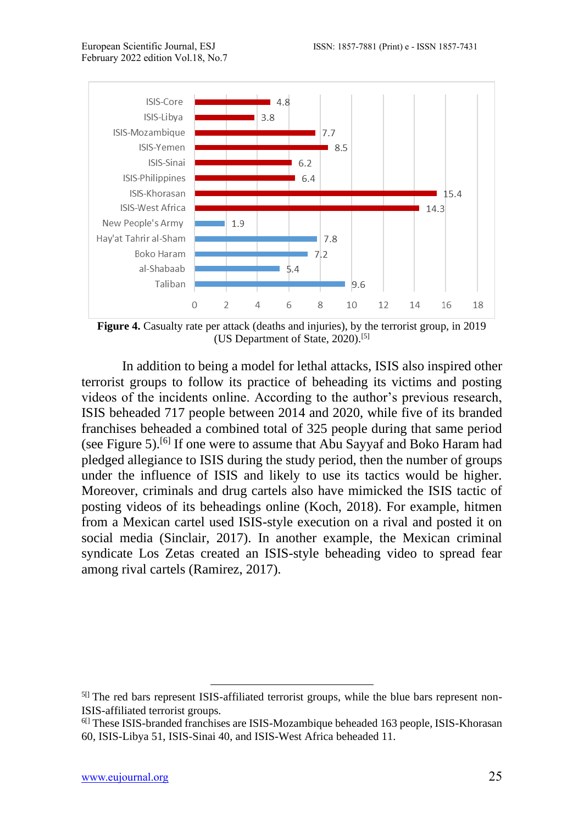

**Figure 4.** Casualty rate per attack (deaths and injuries), by the terrorist group, in 2019 (US Department of State, 2020).[5]

In addition to being a model for lethal attacks, ISIS also inspired other terrorist groups to follow its practice of beheading its victims and posting videos of the incidents online. According to the author's previous research, ISIS beheaded 717 people between 2014 and 2020, while five of its branded franchises beheaded a combined total of 325 people during that same period (see Figure 5).<sup>[6]</sup> If one were to assume that Abu Sayyaf and Boko Haram had pledged allegiance to ISIS during the study period, then the number of groups under the influence of ISIS and likely to use its tactics would be higher. Moreover, criminals and drug cartels also have mimicked the ISIS tactic of posting videos of its beheadings online (Koch, 2018). For example, hitmen from a Mexican cartel used ISIS-style execution on a rival and posted it on social media (Sinclair, 2017). In another example, the Mexican criminal syndicate Los Zetas created an ISIS-style beheading video to spread fear among rival cartels (Ramirez, 2017).

<sup>&</sup>lt;sup>5[]</sup> The red bars represent ISIS-affiliated terrorist groups, while the blue bars represent non-ISIS-affiliated terrorist groups.

<sup>&</sup>lt;sup>6[]</sup> These ISIS-branded franchises are ISIS-Mozambique beheaded 163 people, ISIS-Khorasan 60, ISIS-Libya 51, ISIS-Sinai 40, and ISIS-West Africa beheaded 11.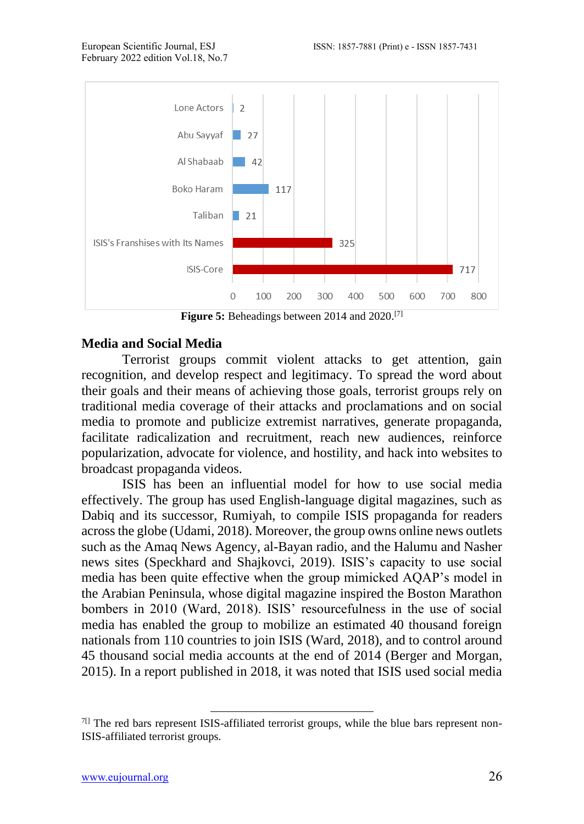

**Figure 5:** Beheadings between 2014 and 2020.[7]

#### **Media and Social Media**

Terrorist groups commit violent attacks to get attention, gain recognition, and develop respect and legitimacy. To spread the word about their goals and their means of achieving those goals, terrorist groups rely on traditional media coverage of their attacks and proclamations and on social media to promote and publicize extremist narratives, generate propaganda, facilitate radicalization and recruitment, reach new audiences, reinforce popularization, advocate for violence, and hostility, and hack into websites to broadcast propaganda videos.

ISIS has been an influential model for how to use social media effectively. The group has used English-language digital magazines, such as Dabiq and its successor, Rumiyah, to compile ISIS propaganda for readers acrossthe globe (Udami, 2018). Moreover, the group owns online news outlets such as the Amaq News Agency, al-Bayan radio, and the Halumu and Nasher news sites (Speckhard and Shajkovci, 2019). ISIS's capacity to use social media has been quite effective when the group mimicked AQAP's model in the Arabian Peninsula, whose digital magazine inspired the Boston Marathon bombers in 2010 (Ward, 2018). ISIS' resourcefulness in the use of social media has enabled the group to mobilize an estimated 40 thousand foreign nationals from 110 countries to join ISIS (Ward, 2018), and to control around 45 thousand social media accounts at the end of 2014 (Berger and Morgan, 2015). In a report published in 2018, it was noted that ISIS used social media

 $7\text{I}$  The red bars represent ISIS-affiliated terrorist groups, while the blue bars represent non-ISIS-affiliated terrorist groups.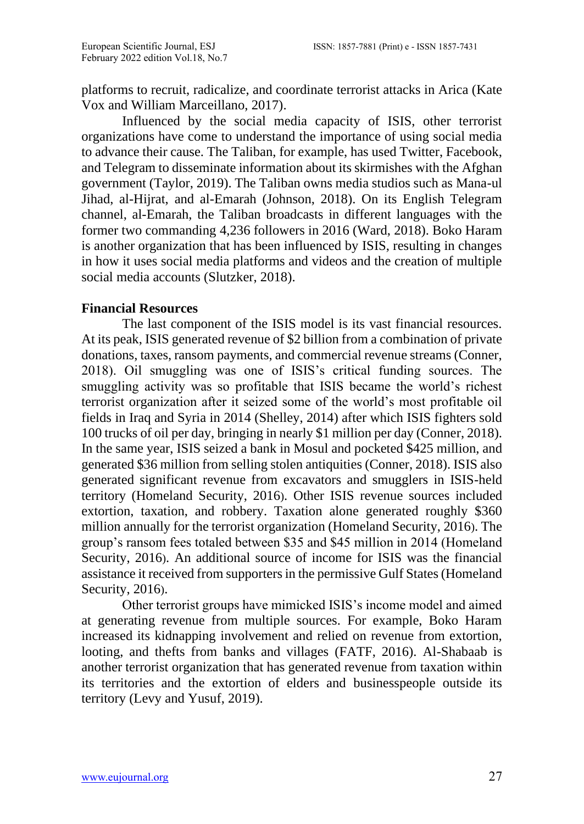platforms to recruit, radicalize, and coordinate terrorist attacks in Arica (Kate Vox and William Marceillano, 2017).

Influenced by the social media capacity of ISIS, other terrorist organizations have come to understand the importance of using social media to advance their cause. The Taliban, for example, has used Twitter, Facebook, and Telegram to disseminate information about its skirmishes with the Afghan government (Taylor, 2019). The Taliban owns media studios such as Mana-ul Jihad, al-Hijrat, and al-Emarah (Johnson, 2018). On its English Telegram channel, al-Emarah, the Taliban broadcasts in different languages with the former two commanding 4,236 followers in 2016 (Ward, 2018). Boko Haram is another organization that has been influenced by ISIS, resulting in changes in how it uses social media platforms and videos and the creation of multiple social media accounts (Slutzker, 2018).

## **Financial Resources**

The last component of the ISIS model is its vast financial resources. At its peak, ISIS generated revenue of \$2 billion from a combination of private donations, taxes, ransom payments, and commercial revenue streams (Conner, 2018). Oil smuggling was one of ISIS's critical funding sources. The smuggling activity was so profitable that ISIS became the world's richest terrorist organization after it seized some of the world's most profitable oil fields in Iraq and Syria in 2014 (Shelley, 2014) after which ISIS fighters sold 100 trucks of oil per day, bringing in nearly \$1 million per day (Conner, 2018). In the same year, ISIS seized a bank in Mosul and pocketed \$425 million, and generated \$36 million from selling stolen antiquities (Conner, 2018). ISIS also generated significant revenue from excavators and smugglers in ISIS-held territory (Homeland Security, 2016). Other ISIS revenue sources included extortion, taxation, and robbery. Taxation alone generated roughly \$360 million annually for the terrorist organization (Homeland Security, 2016). The group's ransom fees totaled between \$35 and \$45 million in 2014 (Homeland Security, 2016). An additional source of income for ISIS was the financial assistance it received from supporters in the permissive Gulf States (Homeland Security, 2016).

Other terrorist groups have mimicked ISIS's income model and aimed at generating revenue from multiple sources. For example, Boko Haram increased its kidnapping involvement and relied on revenue from extortion, looting, and thefts from banks and villages (FATF, 2016). Al-Shabaab is another terrorist organization that has generated revenue from taxation within its territories and the extortion of elders and businesspeople outside its territory (Levy and Yusuf, 2019).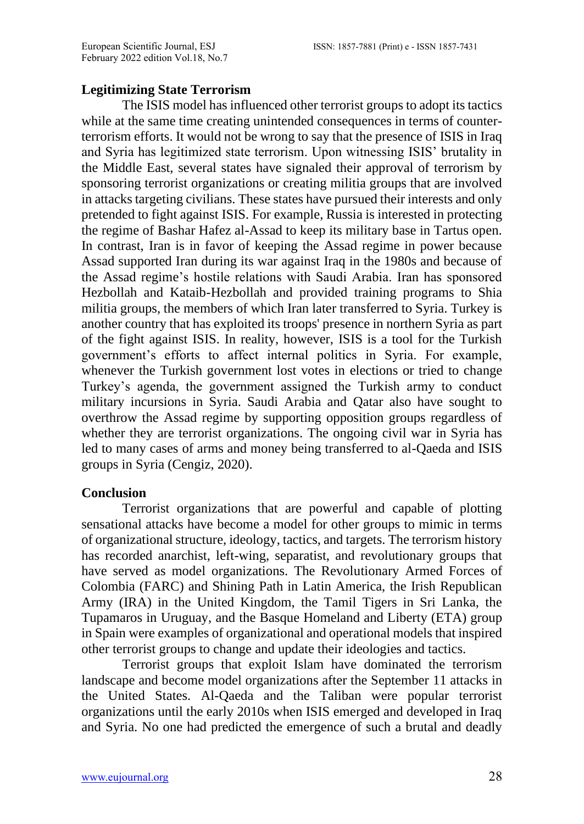## **Legitimizing State Terrorism**

The ISIS model has influenced other terrorist groups to adopt its tactics while at the same time creating unintended consequences in terms of counterterrorism efforts. It would not be wrong to say that the presence of ISIS in Iraq and Syria has legitimized state terrorism. Upon witnessing ISIS' brutality in the Middle East, several states have signaled their approval of terrorism by sponsoring terrorist organizations or creating militia groups that are involved in attacks targeting civilians. These states have pursued their interests and only pretended to fight against ISIS. For example, Russia is interested in protecting the regime of Bashar Hafez al-Assad to keep its military base in Tartus open. In contrast, Iran is in favor of keeping the Assad regime in power because Assad supported Iran during its war against Iraq in the 1980s and because of the Assad regime's hostile relations with Saudi Arabia. Iran has sponsored Hezbollah and Kataib-Hezbollah and provided training programs to Shia militia groups, the members of which Iran later transferred to Syria. Turkey is another country that has exploited its troops' presence in northern Syria as part of the fight against ISIS. In reality, however, ISIS is a tool for the Turkish government's efforts to affect internal politics in Syria. For example, whenever the Turkish government lost votes in elections or tried to change Turkey's agenda, the government assigned the Turkish army to conduct military incursions in Syria. Saudi Arabia and Qatar also have sought to overthrow the Assad regime by supporting opposition groups regardless of whether they are terrorist organizations. The ongoing civil war in Syria has led to many cases of arms and money being transferred to al-Qaeda and ISIS groups in Syria (Cengiz, 2020).

## **Conclusion**

Terrorist organizations that are powerful and capable of plotting sensational attacks have become a model for other groups to mimic in terms of organizational structure, ideology, tactics, and targets. The terrorism history has recorded anarchist, left-wing, separatist, and revolutionary groups that have served as model organizations. The Revolutionary Armed Forces of Colombia (FARC) and Shining Path in Latin America, the Irish Republican Army (IRA) in the United Kingdom, the Tamil Tigers in Sri Lanka, the Tupamaros in Uruguay, and the Basque Homeland and Liberty (ETA) group in Spain were examples of organizational and operational models that inspired other terrorist groups to change and update their ideologies and tactics.

Terrorist groups that exploit Islam have dominated the terrorism landscape and become model organizations after the September 11 attacks in the United States. Al-Qaeda and the Taliban were popular terrorist organizations until the early 2010s when ISIS emerged and developed in Iraq and Syria. No one had predicted the emergence of such a brutal and deadly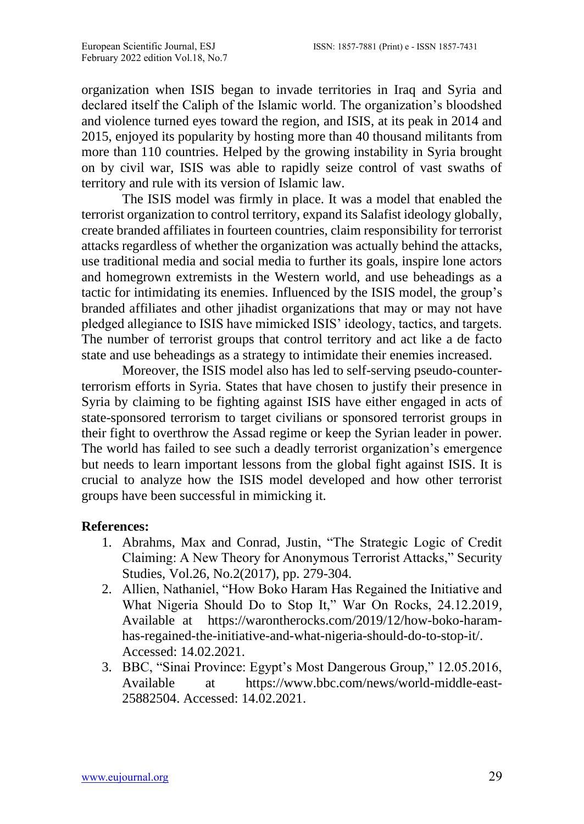organization when ISIS began to invade territories in Iraq and Syria and declared itself the Caliph of the Islamic world. The organization's bloodshed and violence turned eyes toward the region, and ISIS, at its peak in 2014 and 2015, enjoyed its popularity by hosting more than 40 thousand militants from more than 110 countries. Helped by the growing instability in Syria brought on by civil war, ISIS was able to rapidly seize control of vast swaths of territory and rule with its version of Islamic law.

The ISIS model was firmly in place. It was a model that enabled the terrorist organization to control territory, expand its Salafist ideology globally, create branded affiliates in fourteen countries, claim responsibility for terrorist attacks regardless of whether the organization was actually behind the attacks, use traditional media and social media to further its goals, inspire lone actors and homegrown extremists in the Western world, and use beheadings as a tactic for intimidating its enemies. Influenced by the ISIS model, the group's branded affiliates and other jihadist organizations that may or may not have pledged allegiance to ISIS have mimicked ISIS' ideology, tactics, and targets. The number of terrorist groups that control territory and act like a de facto state and use beheadings as a strategy to intimidate their enemies increased.

Moreover, the ISIS model also has led to self-serving pseudo-counterterrorism efforts in Syria. States that have chosen to justify their presence in Syria by claiming to be fighting against ISIS have either engaged in acts of state-sponsored terrorism to target civilians or sponsored terrorist groups in their fight to overthrow the Assad regime or keep the Syrian leader in power. The world has failed to see such a deadly terrorist organization's emergence but needs to learn important lessons from the global fight against ISIS. It is crucial to analyze how the ISIS model developed and how other terrorist groups have been successful in mimicking it.

## **References:**

- 1. Abrahms, [Max a](https://www.tandfonline.com/author/Abrahms%2C+Max)nd Conrad, [Justin,](https://www.tandfonline.com/author/Conrad%2C+Justin) "The Strategic Logic of Credit Claiming: A New Theory for Anonymous Terrorist Attacks," [Security](https://www.tandfonline.com/toc/fsst20/current)  [Studies,](https://www.tandfonline.com/toc/fsst20/current) Vol.26, No.2(2017), pp. 279-304.
- 2. Allien, Nathaniel, "How Boko Haram Has Regained the Initiative and What Nigeria Should Do to Stop It," War On Rocks, 24.12.2019*,*  Available at [https://warontherocks.com/2019/12/how-boko-haram](https://warontherocks.com/2019/12/how-boko-haram-has-regained-the-initiative-and-what-nigeria-should-do-to-stop-it/)[has-regained-the-initiative-and-what-nigeria-should-do-to-stop-it/.](https://warontherocks.com/2019/12/how-boko-haram-has-regained-the-initiative-and-what-nigeria-should-do-to-stop-it/) Accessed: 14.02.2021.
- 3. BBC, "Sinai Province: Egypt's Most Dangerous Group," 12.05.2016, Available at [https://www.bbc.com/news/world-middle-east-](https://www.bbc.com/news/world-middle-east-25882504)[25882504.](https://www.bbc.com/news/world-middle-east-25882504) Accessed: 14.02.2021.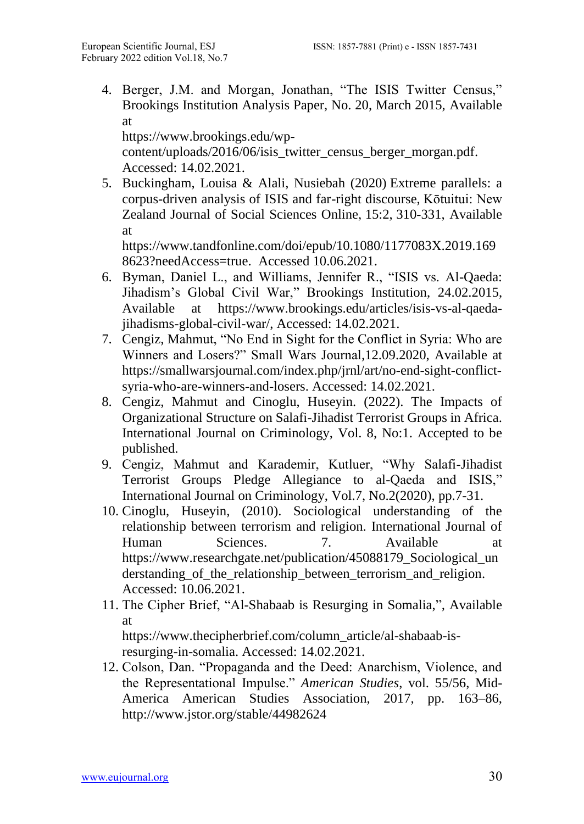4. Berger, J.M. and Morgan, Jonathan, "The ISIS Twitter Census," Brookings Institution Analysis Paper, No. 20, March 2015, Available at

[https://www.brookings.edu/wp](https://www.brookings.edu/wp-content/uploads/2016/06/isis_twitter_census_berger_morgan.pdf)[content/uploads/2016/06/isis\\_twitter\\_census\\_berger\\_morgan.pdf.](https://www.brookings.edu/wp-content/uploads/2016/06/isis_twitter_census_berger_morgan.pdf) Accessed: 14.02.2021.

5. Buckingham, Louisa & Alali, Nusiebah (2020) Extreme parallels: a corpus-driven analysis of ISIS and far-right discourse, Kōtuitui: New Zealand Journal of Social Sciences Online, 15:2, 310-331, Available at

[https://www.tandfonline.com/doi/epub/10.1080/1177083X.2019.169](https://www.tandfonline.com/doi/epub/10.1080/1177083X.2019.1698623?needAccess=true) [8623?needAccess=true.](https://www.tandfonline.com/doi/epub/10.1080/1177083X.2019.1698623?needAccess=true) Accessed 10.06.2021.

- 6. Byman, Daniel L., and Williams, Jennifer R., "ISIS vs. Al-Qaeda: Jihadism's Global Civil War," Brookings Institution, 24.02.2015, Available at [https://www.brookings.edu/articles/isis-vs-al-qaeda](https://www.brookings.edu/articles/isis-vs-al-qaeda-jihadisms-global-civil-war/)[jihadisms-global-civil-war/,](https://www.brookings.edu/articles/isis-vs-al-qaeda-jihadisms-global-civil-war/) Accessed: 14.02.2021.
- 7. Cengiz, Mahmut, "No End in Sight for the Conflict in Syria: Who are Winners and Losers?" Small Wars Journal*,*12.09.2020, Available at [https://smallwarsjournal.com/index.php/jrnl/art/no-end-sight-conflict](https://smallwarsjournal.com/index.php/jrnl/art/no-end-sight-conflict-syria-who-are-winners-and-losers)[syria-who-are-winners-and-losers.](https://smallwarsjournal.com/index.php/jrnl/art/no-end-sight-conflict-syria-who-are-winners-and-losers) Accessed: 14.02.2021.
- 8. Cengiz, Mahmut and Cinoglu, Huseyin. (2022). The Impacts of Organizational Structure on Salafi-Jihadist Terrorist Groups in Africa. International Journal on Criminology, Vol. 8, No:1. Accepted to be published.
- 9. Cengiz, Mahmut and Karademir, Kutluer, "Why Salafi-Jihadist Terrorist Groups Pledge Allegiance to al-Qaeda and ISIS," International Journal on Criminology, Vol.7, No.2(2020), pp.7-31.
- 10. Cinoglu, Huseyin, (2010). Sociological understanding of the relationship between terrorism and religion. International Journal of Human Sciences. 7. Available at [https://www.researchgate.net/publication/45088179\\_Sociological\\_un](https://www.researchgate.net/publication/45088179_Sociological_understanding_of_the_relationship_between_terrorism_and_religion) [derstanding\\_of\\_the\\_relationship\\_between\\_terrorism\\_and\\_religion.](https://www.researchgate.net/publication/45088179_Sociological_understanding_of_the_relationship_between_terrorism_and_religion) Accessed: 10.06.2021.
- 11. The Cipher Brief, "Al-Shabaab is Resurging in Somalia,"*,* Available at [https://www.thecipherbrief.com/column\\_article/al-shabaab-is-](https://www.thecipherbrief.com/column_article/al-shabaab-is-resurging-in-somalia)

[resurging-in-somalia.](https://www.thecipherbrief.com/column_article/al-shabaab-is-resurging-in-somalia) Accessed: 14.02.2021.

12. Colson, Dan. "Propaganda and the Deed: Anarchism, Violence, and the Representational Impulse." *American Studies*, vol. 55/56, Mid-America American Studies Association, 2017, pp. 163–86, <http://www.jstor.org/stable/44982624>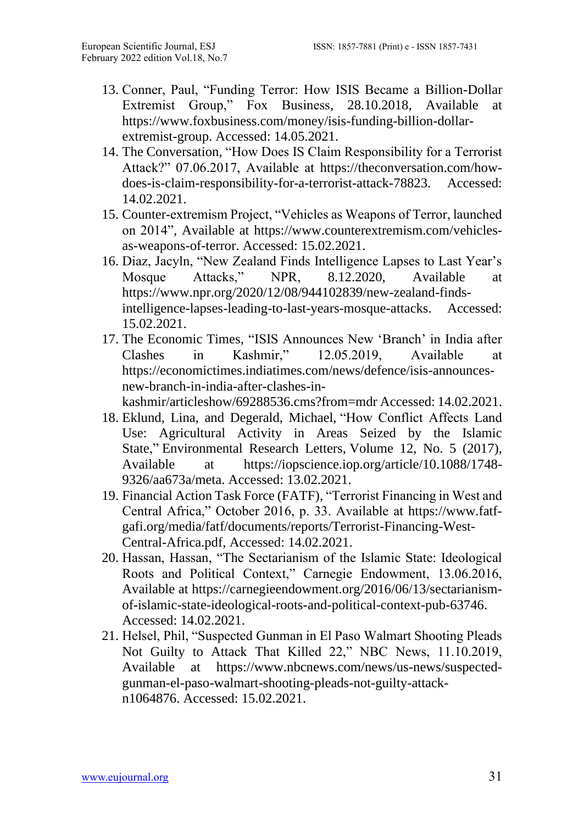- 13. Conner, Paul, "Funding Terror: How ISIS Became a Billion-Dollar Extremist Group," Fox Business*,* 28.10.2018, Available at [https://www.foxbusiness.com/money/isis-funding-billion-dollar](https://www.foxbusiness.com/money/isis-funding-billion-dollar-extremist-group)[extremist-group.](https://www.foxbusiness.com/money/isis-funding-billion-dollar-extremist-group) Accessed: 14.05.2021.
- 14. The Conversation*,* "How Does IS Claim Responsibility for a Terrorist Attack?" 07.06.2017, Available at [https://theconversation.com/how](https://theconversation.com/how-does-is-claim-responsibility-for-a-terrorist-attack-78823)[does-is-claim-responsibility-for-a-terrorist-attack-78823.](https://theconversation.com/how-does-is-claim-responsibility-for-a-terrorist-attack-78823) Accessed: 14.02.2021.
- 15. Counter-extremism Project, "Vehicles as Weapons of Terror, launched on 2014"*,* Available at [https://www.counterextremism.com/vehicles](https://www.counterextremism.com/vehicles-as-weapons-of-terror)[as-weapons-of-terror.](https://www.counterextremism.com/vehicles-as-weapons-of-terror) Accessed: 15.02.2021.
- 16. Diaz, Jacyln, "New Zealand Finds Intelligence Lapses to Last Year's Mosque Attacks," NPR, 8.12.2020, Available at [https://www.npr.org/2020/12/08/944102839/new-zealand-finds](https://www.npr.org/2020/12/08/944102839/new-zealand-finds-intelligence-lapses-leading-to-last-years-mosque-attacks)[intelligence-lapses-leading-to-last-years-mosque-attacks.](https://www.npr.org/2020/12/08/944102839/new-zealand-finds-intelligence-lapses-leading-to-last-years-mosque-attacks) Accessed: 15.02.2021.
- 17. The Economic Times, "ISIS Announces New 'Branch' in India after Clashes in Kashmir," 12.05.2019, Available at [https://economictimes.indiatimes.com/news/defence/isis-announces](https://economictimes.indiatimes.com/news/defence/isis-announces-new-branch-in-india-after-clashes-in-kashmir/articleshow/69288536.cms?from=mdr)[new-branch-in-india-after-clashes-in-](https://economictimes.indiatimes.com/news/defence/isis-announces-new-branch-in-india-after-clashes-in-kashmir/articleshow/69288536.cms?from=mdr)

[kashmir/articleshow/69288536.cms?from=mdr](https://economictimes.indiatimes.com/news/defence/isis-announces-new-branch-in-india-after-clashes-in-kashmir/articleshow/69288536.cms?from=mdr) Accessed: 14.02.2021.

- 18. Eklund, Lina, and Degerald, Michael, ["How Conflict Affects Land](https://doi.org/10.1088%2F1748-9326%2Faa673a)  [Use: Agricultural Activity in Areas Seized by the Islamic](https://doi.org/10.1088%2F1748-9326%2Faa673a)  [State,](https://doi.org/10.1088%2F1748-9326%2Faa673a)" Environmental Research Letters, Volume 12, No. 5 (2017), Available at [https://iopscience.iop.org/article/10.1088/1748-](https://iopscience.iop.org/article/10.1088/1748-9326/aa673a/meta) [9326/aa673a/meta.](https://iopscience.iop.org/article/10.1088/1748-9326/aa673a/meta) Accessed: 13.02.2021.
- 19. Financial Action Task Force (FATF)*,* "Terrorist Financing in West and Central Africa," October 2016, p. 33. Available at [https://www.fatf](https://www.fatf-gafi.org/media/fatf/documents/reports/Terrorist-Financing-West-Central-Africa.pdf)[gafi.org/media/fatf/documents/reports/Terrorist-Financing-West-](https://www.fatf-gafi.org/media/fatf/documents/reports/Terrorist-Financing-West-Central-Africa.pdf)[Central-Africa.pdf,](https://www.fatf-gafi.org/media/fatf/documents/reports/Terrorist-Financing-West-Central-Africa.pdf) Accessed: 14.02.2021.
- 20. Hassan, Hassan, "The Sectarianism of the Islamic State: Ideological Roots and Political Context," Carnegie Endowment, 13.06.2016, Available at [https://carnegieendowment.org/2016/06/13/sectarianism](https://carnegieendowment.org/2016/06/13/sectarianism-of-islamic-state-ideological-roots-and-political-context-pub-63746)[of-islamic-state-ideological-roots-and-political-context-pub-63746.](https://carnegieendowment.org/2016/06/13/sectarianism-of-islamic-state-ideological-roots-and-political-context-pub-63746) Accessed: 14.02.2021.
- 21. Helsel, Phil, "Suspected Gunman in El Paso Walmart Shooting Pleads Not Guilty to Attack That Killed 22," NBC News, 11.10.2019, Available at [https://www.nbcnews.com/news/us-news/suspected](https://www.nbcnews.com/news/us-news/suspected-gunman-el-paso-walmart-shooting-pleads-not-guilty-attack-n1064876)[gunman-el-paso-walmart-shooting-pleads-not-guilty-attack](https://www.nbcnews.com/news/us-news/suspected-gunman-el-paso-walmart-shooting-pleads-not-guilty-attack-n1064876)[n1064876.](https://www.nbcnews.com/news/us-news/suspected-gunman-el-paso-walmart-shooting-pleads-not-guilty-attack-n1064876) Accessed: 15.02.2021.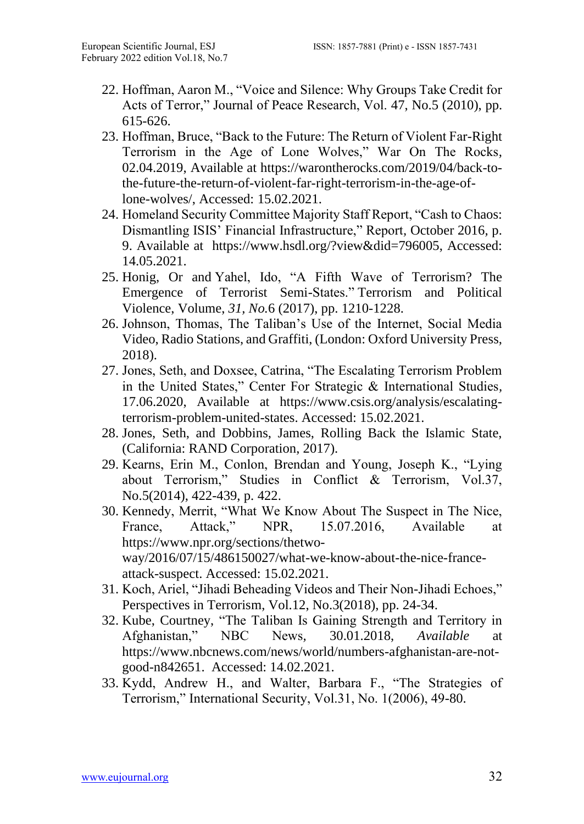- 22. Hoffman, Aaron M., "Voice and Silence: Why Groups Take Credit for Acts of Terror," Journal of Peace Research, Vol. [47, No.5](https://www.jstor.org/stable/i20798921) (2010), pp. 615-626.
- 23. Hoffman, Bruce, "Back to the Future: The Return of Violent Far-Right Terrorism in the Age of Lone Wolves," War On The Rocks*,* 02.04.2019, Available at [https://warontherocks.com/2019/04/back-to](https://warontherocks.com/2019/04/back-to-the-future-the-return-of-violent-far-right-terrorism-in-the-age-of-lone-wolves/)[the-future-the-return-of-violent-far-right-terrorism-in-the-age-of](https://warontherocks.com/2019/04/back-to-the-future-the-return-of-violent-far-right-terrorism-in-the-age-of-lone-wolves/)[lone-wolves/,](https://warontherocks.com/2019/04/back-to-the-future-the-return-of-violent-far-right-terrorism-in-the-age-of-lone-wolves/) Accessed: 15.02.2021.
- 24. Homeland Security Committee Majority Staff Report, "Cash to Chaos: Dismantling ISIS' Financial Infrastructure," Report*,* October 2016*,* p. 9. Available at [https://www.hsdl.org/?view&did=796005,](https://www.hsdl.org/?view&did=796005) Accessed: 14.05.2021.
- 25. Honig, Or and Yahel, Ido, "A Fifth Wave of Terrorism? The Emergence of Terrorist Semi-States." Terrorism and Political Violence, Volume, *31, No.*6 (2017), pp. 1210-1228.
- 26. Johnson, Thomas, The Taliban's Use of the Internet, Social Media Video, Radio Stations, and Graffiti, (London: Oxford University Press, 2018).
- 27. Jones, Seth, and Doxsee, Catrina, "The Escalating Terrorism Problem in the United States," Center For Strategic & International Studies*,* 17.06.2020, Available at [https://www.csis.org/analysis/escalating](https://www.csis.org/analysis/escalating-terrorism-problem-united-states)[terrorism-problem-united-states.](https://www.csis.org/analysis/escalating-terrorism-problem-united-states) Accessed: 15.02.2021.
- 28. Jones, Seth, and Dobbins, James, Rolling Back the Islamic State, (California: RAND Corporation, 2017).
- 29. Kearns, Erin M., Conlon, Brendan and Young, Joseph K., "Lying about Terrorism," Studies in Conflict & Terrorism, Vol.37, No.5(2014), 422-439, p. 422.
- 30. Kennedy, Merrit, "What We Know About The Suspect in The Nice, France, Attack," NPR, 15.07.2016, Available at [https://www.npr.org/sections/thetwo](https://www.npr.org/sections/thetwo-way/2016/07/15/486150027/what-we-know-about-the-nice-france-attack-suspect)[way/2016/07/15/486150027/what-we-know-about-the-nice-france](https://www.npr.org/sections/thetwo-way/2016/07/15/486150027/what-we-know-about-the-nice-france-attack-suspect)[attack-suspect.](https://www.npr.org/sections/thetwo-way/2016/07/15/486150027/what-we-know-about-the-nice-france-attack-suspect) Accessed: 15.02.2021.
- 31. Koch, Ariel, "Jihadi Beheading Videos and Their Non-Jihadi Echoes," Perspectives in Terrorism, Vol.12, No.3(2018), pp. 24-34.
- 32. Kube, Courtney, "The Taliban Is Gaining Strength and Territory in Afghanistan," NBC News*,* 30.01.2018, *Available* at [https://www.nbcnews.com/news/world/numbers-afghanistan-are-not](https://www.nbcnews.com/news/world/numbers-afghanistan-are-not-good-n842651)[good-n842651.](https://www.nbcnews.com/news/world/numbers-afghanistan-are-not-good-n842651) Accessed: 14.02.2021.
- 33. Kydd, Andrew H., and Walter, Barbara F., "The Strategies of Terrorism," International Security, Vol.31, No. 1(2006), 49-80.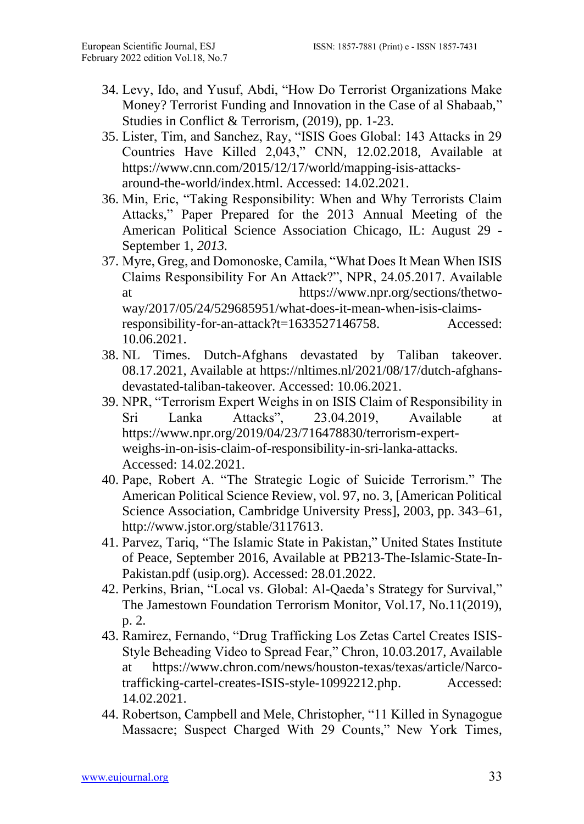- 34. Levy, Ido, and Yusuf, Abdi, "How Do Terrorist Organizations Make Money? Terrorist Funding and Innovation in the Case of al Shabaab," Studies in Conflict & Terrorism*,* (2019), pp. 1-23.
- 35. Lister, Tim, and Sanchez, Ray, "ISIS Goes Global: 143 Attacks in 29 Countries Have Killed 2,043," CNN*,* 12.02.2018, Available at [https://www.cnn.com/2015/12/17/world/mapping-isis-attacks](https://www.cnn.com/2015/12/17/world/mapping-isis-attacks-around-the-world/index.html)[around-the-world/index.html.](https://www.cnn.com/2015/12/17/world/mapping-isis-attacks-around-the-world/index.html) Accessed: 14.02.2021.
- 36. Min, Eric, "Taking Responsibility: When and Why Terrorists Claim Attacks," Paper Prepared for the 2013 Annual Meeting of the American Political Science Association Chicago, IL: August 29 - September 1, *2013.*
- 37. Myre, Greg, and Domonoske, Camila, "What Does It Mean When ISIS Claims Responsibility For An Attack?", NPR, 24.05.2017. Available at [https://www.npr.org/sections/thetwo](https://www.npr.org/sections/thetwo-way/2017/05/24/529685951/what-does-it-mean-when-isis-claims-responsibility-for-an-attack?t=1633527146758)[way/2017/05/24/529685951/what-does-it-mean-when-isis-claims](https://www.npr.org/sections/thetwo-way/2017/05/24/529685951/what-does-it-mean-when-isis-claims-responsibility-for-an-attack?t=1633527146758)[responsibility-for-an-attack?t=1633527146758.](https://www.npr.org/sections/thetwo-way/2017/05/24/529685951/what-does-it-mean-when-isis-claims-responsibility-for-an-attack?t=1633527146758) Accessed: 10.06.2021.
- 38. NL Times. Dutch-Afghans devastated by Taliban takeover. 08.17.2021, Available at [https://nltimes.nl/2021/08/17/dutch-afghans](https://nltimes.nl/2021/08/17/dutch-afghans-devastated-taliban-takeover)[devastated-taliban-takeover.](https://nltimes.nl/2021/08/17/dutch-afghans-devastated-taliban-takeover) Accessed: 10.06.2021.
- 39. NPR, "Terrorism Expert Weighs in on ISIS Claim of Responsibility in Sri Lanka Attacks", 23.04.2019, Available at [https://www.npr.org/2019/04/23/716478830/terrorism-expert](https://www.npr.org/2019/04/23/716478830/terrorism-expert-weighs-in-on-isis-claim-of-responsibility-in-sri-lanka-attacks)[weighs-in-on-isis-claim-of-responsibility-in-sri-lanka-attacks.](https://www.npr.org/2019/04/23/716478830/terrorism-expert-weighs-in-on-isis-claim-of-responsibility-in-sri-lanka-attacks) Accessed: 14.02.2021.
- 40. Pape, Robert A. "The Strategic Logic of Suicide Terrorism." The American Political Science Review, vol. 97, no. 3, [American Political Science Association, Cambridge University Press], 2003, pp. 343–61, [http://www.jstor.org/stable/3117613.](http://www.jstor.org/stable/3117613)
- 41. Parvez, Tariq, "The Islamic State in Pakistan," United States Institute of Peace, September 2016, Available at [PB213-The-Islamic-State-In-](https://www.usip.org/sites/default/files/PB213-The-Islamic-State-In-Pakistan.pdf)[Pakistan.pdf \(usip.org\).](https://www.usip.org/sites/default/files/PB213-The-Islamic-State-In-Pakistan.pdf) Accessed: 28.01.2022.
- 42. Perkins, Brian, "Local vs. Global: Al-Qaeda's Strategy for Survival," The Jamestown Foundation Terrorism Monitor, Vol.17, No.11(2019), p. 2.
- 43. Ramirez, Fernando, "Drug Trafficking Los Zetas Cartel Creates ISIS-Style Beheading Video to Spread Fear," Chron*,* 10.03.2017, Available at [https://www.chron.com/news/houston-texas/texas/article/Narco](https://www.chron.com/news/houston-texas/texas/article/Narco-trafficking-cartel-creates-ISIS-style-10992212.php)[trafficking-cartel-creates-ISIS-style-10992212.php.](https://www.chron.com/news/houston-texas/texas/article/Narco-trafficking-cartel-creates-ISIS-style-10992212.php) Accessed: 14.02.2021.
- 44. Robertson, Campbell and Mele, Christopher, "11 Killed in Synagogue Massacre; Suspect Charged With 29 Counts," New York Times*,*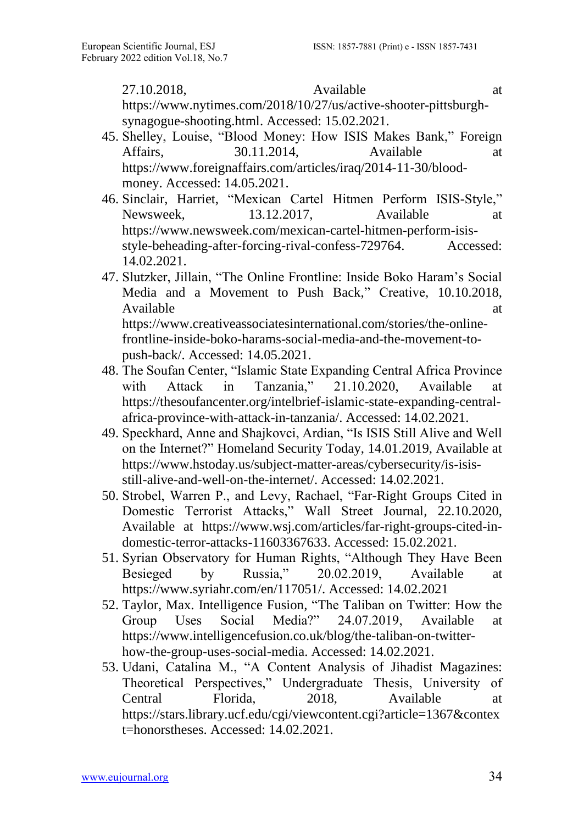27.10.2018, Available at [https://www.nytimes.com/2018/10/27/us/active-shooter-pittsburgh](https://www.nytimes.com/2018/10/27/us/active-shooter-pittsburgh-synagogue-shooting.html)[synagogue-shooting.html.](https://www.nytimes.com/2018/10/27/us/active-shooter-pittsburgh-synagogue-shooting.html) Accessed: 15.02.2021.

- 45. Shelley, Louise, "Blood Money: How ISIS Makes Bank," Foreign Affairs, 30.11.2014, Available at [https://www.foreignaffairs.com/articles/iraq/2014-11-30/blood](https://www.foreignaffairs.com/articles/iraq/2014-11-30/blood-money)[money.](https://www.foreignaffairs.com/articles/iraq/2014-11-30/blood-money) Accessed: 14.05.2021.
- 46. Sinclair, Harriet, "Mexican Cartel Hitmen Perform ISIS-Style," Newsweek*,* 13.12.2017, Available at [https://www.newsweek.com/mexican-cartel-hitmen-perform-isis](https://www.newsweek.com/mexican-cartel-hitmen-perform-isis-style-beheading-after-forcing-rival-confess-729764)[style-beheading-after-forcing-rival-confess-729764.](https://www.newsweek.com/mexican-cartel-hitmen-perform-isis-style-beheading-after-forcing-rival-confess-729764) Accessed: 14.02.2021.
- 47. Slutzker, Jillain, "The Online Frontline: Inside Boko Haram's Social Media and a Movement to Push Back," Creative*,* 10.10.2018, Available at a structure of the structure at a structure of the structure at a structure of the structure of the structure of the structure of the structure of the structure of the structure of the structure of the structu [https://www.creativeassociatesinternational.com/stories/the-online](https://www.creativeassociatesinternational.com/stories/the-online-frontline-inside-boko-harams-social-media-and-the-movement-to-push-back/)[frontline-inside-boko-harams-social-media-and-the-movement-to](https://www.creativeassociatesinternational.com/stories/the-online-frontline-inside-boko-harams-social-media-and-the-movement-to-push-back/)[push-back/.](https://www.creativeassociatesinternational.com/stories/the-online-frontline-inside-boko-harams-social-media-and-the-movement-to-push-back/) Accessed: 14.05.2021.
- 48. The Soufan Center, "Islamic State Expanding Central Africa Province with Attack in Tanzania,"  $21.10.2020$ , Available [https://thesoufancenter.org/intelbrief-islamic-state-expanding-central](https://thesoufancenter.org/intelbrief-islamic-state-expanding-central-africa-province-with-attack-in-tanzania/)[africa-province-with-attack-in-tanzania/.](https://thesoufancenter.org/intelbrief-islamic-state-expanding-central-africa-province-with-attack-in-tanzania/) Accessed: 14.02.2021.
- 49. Speckhard, Anne and Shajkovci, Ardian, "Is ISIS Still Alive and Well on the Internet?" Homeland Security Today, 14.01.2019, Available at [https://www.hstoday.us/subject-matter-areas/cybersecurity/is-isis](https://www.hstoday.us/subject-matter-areas/cybersecurity/is-isis-still-alive-and-well-on-the-internet/)[still-alive-and-well-on-the-internet/.](https://www.hstoday.us/subject-matter-areas/cybersecurity/is-isis-still-alive-and-well-on-the-internet/) Accessed: 14.02.2021.
- 50. Strobel, Warren P., and Levy, Rachael, "Far-Right Groups Cited in Domestic Terrorist Attacks," Wall Street Journal*,* 22.10.2020, Available at [https://www.wsj.com/articles/far-right-groups-cited-in](https://www.wsj.com/articles/far-right-groups-cited-in-domestic-terror-attacks-11603367633)[domestic-terror-attacks-11603367633.](https://www.wsj.com/articles/far-right-groups-cited-in-domestic-terror-attacks-11603367633) Accessed: 15.02.2021.
- 51. Syrian Observatory for Human Rights, "Although They Have Been Besieged by Russia," 20.02.2019, Available at [https://www.syriahr.com/en/117051/.](https://www.syriahr.com/en/117051/) Accessed: 14.02.2021
- 52. Taylor, Max. Intelligence Fusion*,* "The Taliban on Twitter: How the Group Uses Social Media?" 24.07.2019, Available at [https://www.intelligencefusion.co.uk/blog/the-taliban-on-twitter](https://www.intelligencefusion.co.uk/blog/the-taliban-on-twitter-how-the-group-uses-social-media)[how-the-group-uses-social-media.](https://www.intelligencefusion.co.uk/blog/the-taliban-on-twitter-how-the-group-uses-social-media) Accessed: 14.02.2021.
- 53. Udani, Catalina M., "A Content Analysis of Jihadist Magazines: Theoretical Perspectives," Undergraduate Thesis, University of Central Florida, 2018, Available at [https://stars.library.ucf.edu/cgi/viewcontent.cgi?article=1367&contex](https://stars.library.ucf.edu/cgi/viewcontent.cgi?article=1367&context=honorstheses) [t=honorstheses.](https://stars.library.ucf.edu/cgi/viewcontent.cgi?article=1367&context=honorstheses) Accessed: 14.02.2021.